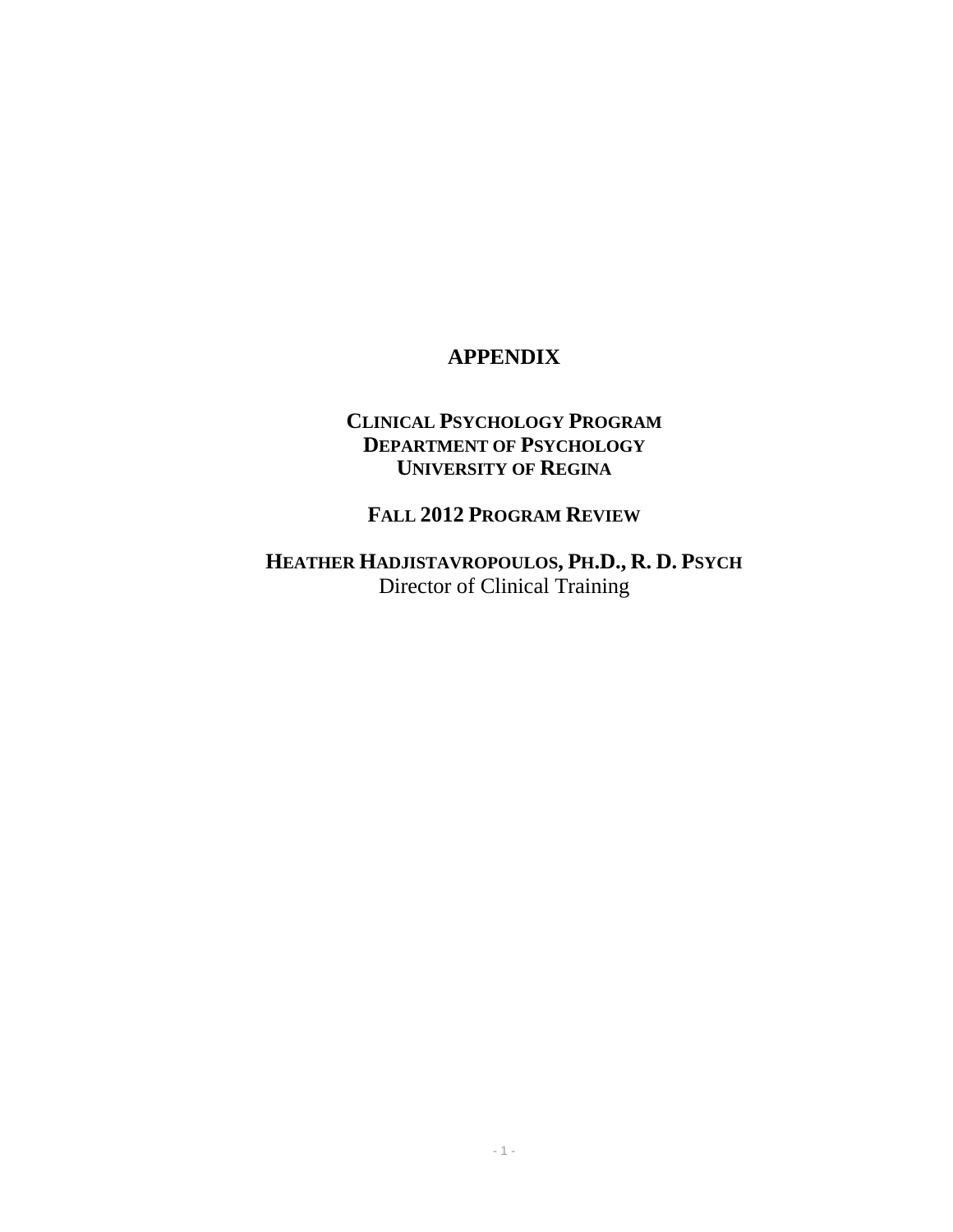# **APPENDIX**

# **CLINICAL PSYCHOLOGY PROGRAM DEPARTMENT OF PSYCHOLOGY UNIVERSITY OF REGINA**

# **FALL 2012 PROGRAM REVIEW**

**HEATHER HADJISTAVROPOULOS, PH.D., R. D. PSYCH** Director of Clinical Training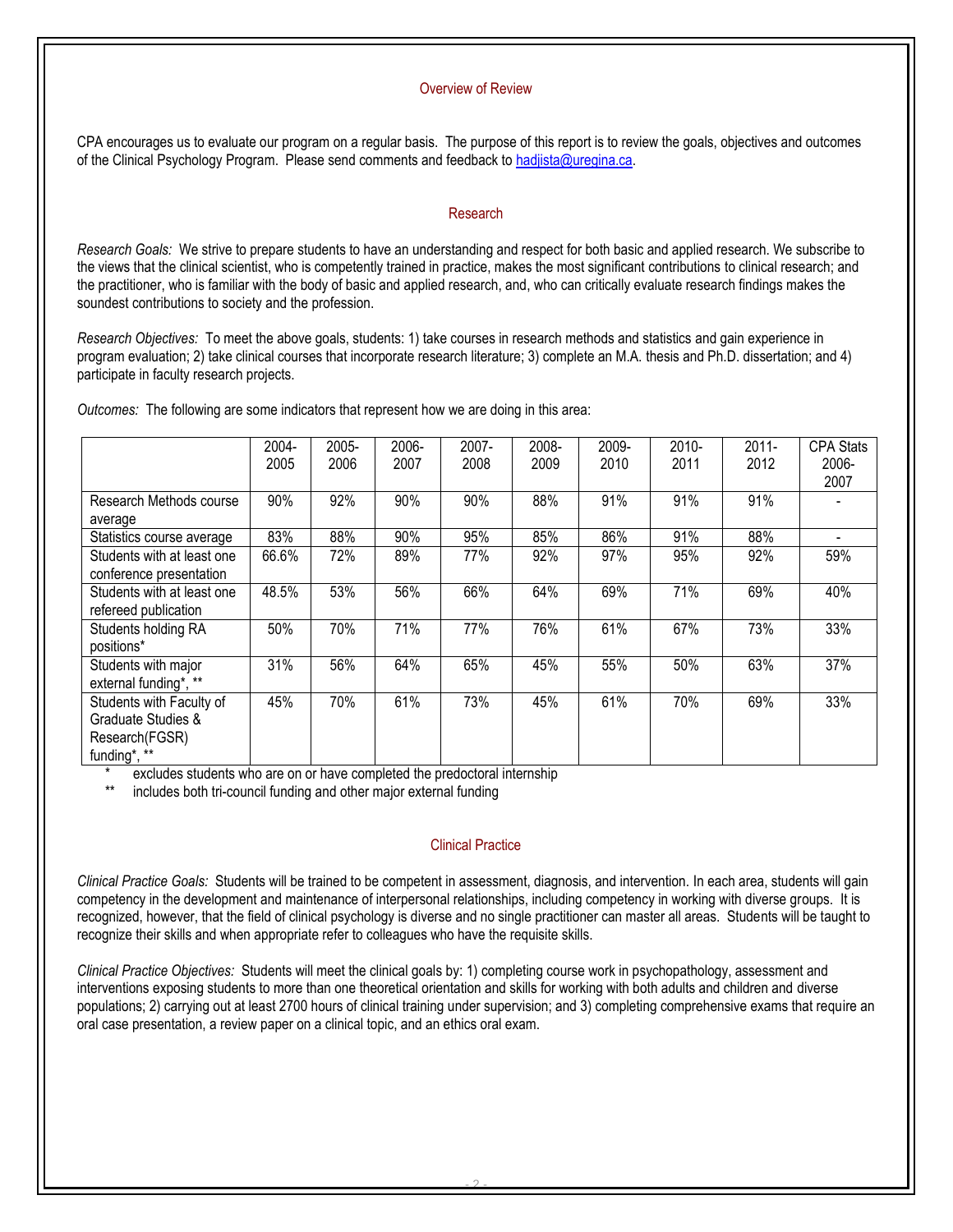#### Overview of Review

CPA encourages us to evaluate our program on a regular basis. The purpose of this report is to review the goals, objectives and outcomes of the Clinical Psychology Program. Please send comments and feedback to [hadjista@uregina.ca.](mailto:hadjista@uregina.ca) 

#### Research

*Research Goals:* We strive to prepare students to have an understanding and respect for both basic and applied research. We subscribe to the views that the clinical scientist, who is competently trained in practice, makes the most significant contributions to clinical research; and the practitioner, who is familiar with the body of basic and applied research, and, who can critically evaluate research findings makes the soundest contributions to society and the profession.

*Research Objectives:* To meet the above goals, students: 1) take courses in research methods and statistics and gain experience in program evaluation; 2) take clinical courses that incorporate research literature; 3) complete an M.A. thesis and Ph.D. dissertation; and 4) participate in faculty research projects.

*Outcomes:* The following are some indicators that represent how we are doing in this area:

|                            | 2004- | 2005- | 2006- | 2007- | 2008- | 2009- | 2010- | $2011 -$ | <b>CPA Stats</b> |
|----------------------------|-------|-------|-------|-------|-------|-------|-------|----------|------------------|
|                            | 2005  | 2006  | 2007  | 2008  | 2009  | 2010  | 2011  | 2012     | 2006-            |
|                            |       |       |       |       |       |       |       |          | 2007             |
| Research Methods course    | 90%   | 92%   | 90%   | 90%   | 88%   | 91%   | 91%   | 91%      |                  |
| average                    |       |       |       |       |       |       |       |          |                  |
| Statistics course average  | 83%   | 88%   | 90%   | 95%   | 85%   | 86%   | 91%   | 88%      |                  |
| Students with at least one | 66.6% | 72%   | 89%   | 77%   | 92%   | 97%   | 95%   | 92%      | 59%              |
| conference presentation    |       |       |       |       |       |       |       |          |                  |
| Students with at least one | 48.5% | 53%   | 56%   | 66%   | 64%   | 69%   | 71%   | 69%      | 40%              |
| refereed publication       |       |       |       |       |       |       |       |          |                  |
| Students holding RA        | 50%   | 70%   | 71%   | 77%   | 76%   | 61%   | 67%   | 73%      | 33%              |
| positions*                 |       |       |       |       |       |       |       |          |                  |
| Students with major        | 31%   | 56%   | 64%   | 65%   | 45%   | 55%   | 50%   | 63%      | 37%              |
| external funding*, **      |       |       |       |       |       |       |       |          |                  |
| Students with Faculty of   | 45%   | 70%   | 61%   | 73%   | 45%   | 61%   | 70%   | 69%      | 33%              |
| Graduate Studies &         |       |       |       |       |       |       |       |          |                  |
| Research(FGSR)             |       |       |       |       |       |       |       |          |                  |
| funding*, **               |       |       |       |       |       |       |       |          |                  |

excludes students who are on or have completed the predoctoral internship

includes both tri-council funding and other major external funding

#### Clinical Practice

*Clinical Practice Goals:* Students will be trained to be competent in assessment, diagnosis, and intervention. In each area, students will gain competency in the development and maintenance of interpersonal relationships, including competency in working with diverse groups. It is recognized, however, that the field of clinical psychology is diverse and no single practitioner can master all areas. Students will be taught to recognize their skills and when appropriate refer to colleagues who have the requisite skills.

*Clinical Practice Objectives:* Students will meet the clinical goals by: 1) completing course work in psychopathology, assessment and interventions exposing students to more than one theoretical orientation and skills for working with both adults and children and diverse populations; 2) carrying out at least 2700 hours of clinical training under supervision; and 3) completing comprehensive exams that require an oral case presentation, a review paper on a clinical topic, and an ethics oral exam.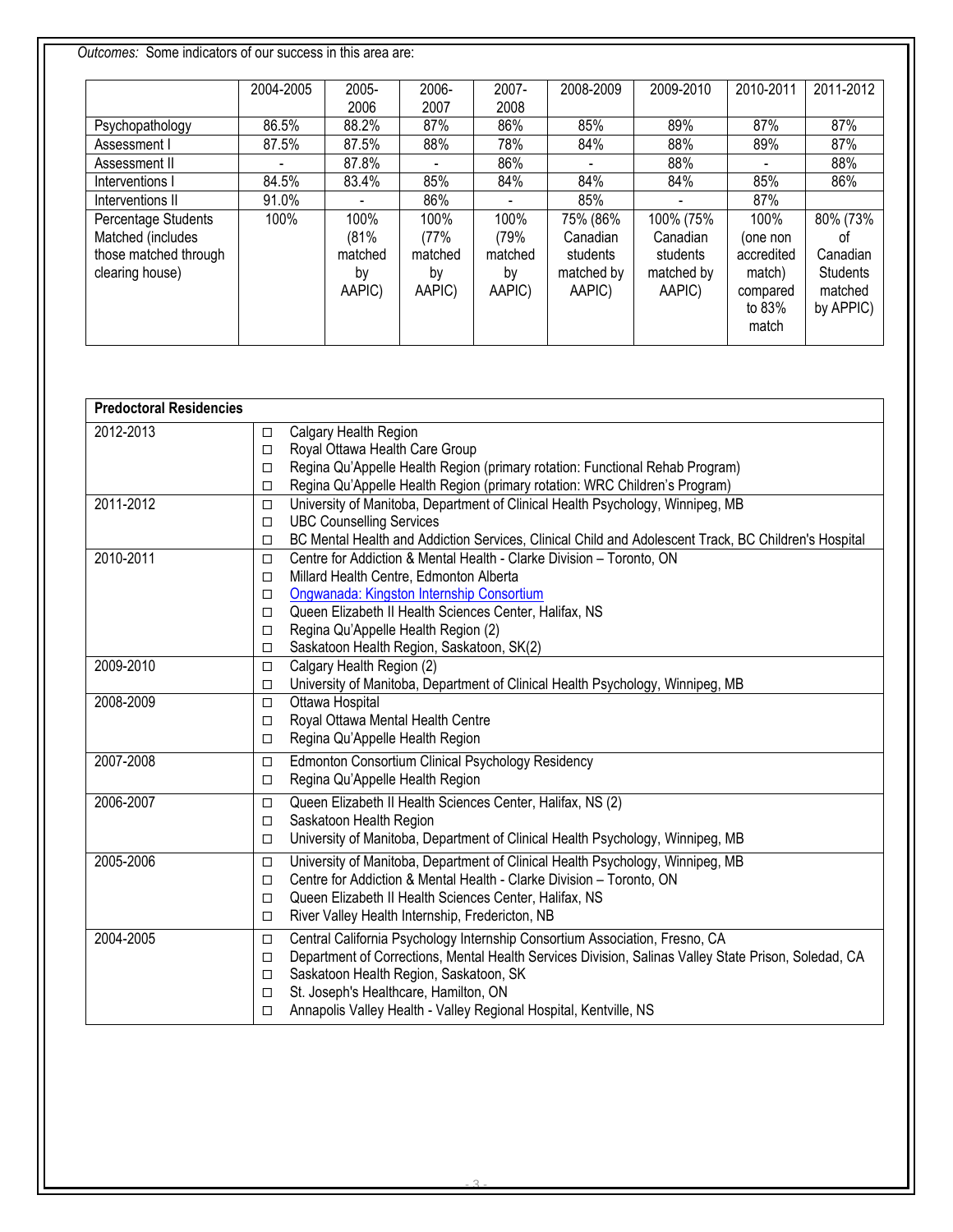*Outcomes:* Some indicators of our success in this area are:

|                       | 2004-2005 | 2005-   | 2006-   | $2007 -$ | 2008-2009  | 2009-2010  | 2010-2011  | 2011-2012       |
|-----------------------|-----------|---------|---------|----------|------------|------------|------------|-----------------|
|                       |           | 2006    | 2007    | 2008     |            |            |            |                 |
| Psychopathology       | 86.5%     | 88.2%   | 87%     | 86%      | 85%        | 89%        | 87%        | 87%             |
| Assessment I          | 87.5%     | 87.5%   | 88%     | 78%      | 84%        | 88%        | 89%        | 87%             |
| Assessment II         |           | 87.8%   |         | 86%      |            | 88%        |            | 88%             |
| Interventions I       | 84.5%     | 83.4%   | 85%     | 84%      | 84%        | 84%        | 85%        | 86%             |
| Interventions II      | 91.0%     |         | 86%     |          | 85%        |            | 87%        |                 |
| Percentage Students   | 100%      | 100%    | 100%    | 100%     | 75% (86%   | 100% (75%  | 100%       | 80% (73%        |
| Matched (includes     |           | (81%    | (77%    | (79%     | Canadian   | Canadian   | (one non   | .nt             |
| those matched through |           | matched | matched | matched  | students   | students   | accredited | Canadian        |
| clearing house)       |           | by      | by      | by       | matched by | matched by | match)     | <b>Students</b> |
|                       |           | AAPIC)  | AAPIC)  | AAPIC)   | AAPIC)     | AAPIC)     | compared   | matched         |
|                       |           |         |         |          |            |            | to 83%     | by APPIC)       |
|                       |           |         |         |          |            |            | match      |                 |

| <b>Predoctoral Residencies</b> |        |                                                                                                      |
|--------------------------------|--------|------------------------------------------------------------------------------------------------------|
| 2012-2013                      | $\Box$ | Calgary Health Region                                                                                |
|                                | $\Box$ | Royal Ottawa Health Care Group                                                                       |
|                                | $\Box$ | Regina Qu'Appelle Health Region (primary rotation: Functional Rehab Program)                         |
|                                | □      | Regina Qu'Appelle Health Region (primary rotation: WRC Children's Program)                           |
| 2011-2012                      | □      | University of Manitoba, Department of Clinical Health Psychology, Winnipeg, MB                       |
|                                | $\Box$ | <b>UBC Counselling Services</b>                                                                      |
|                                | $\Box$ | BC Mental Health and Addiction Services, Clinical Child and Adolescent Track, BC Children's Hospital |
| 2010-2011                      | $\Box$ | Centre for Addiction & Mental Health - Clarke Division - Toronto, ON                                 |
|                                | $\Box$ | Millard Health Centre, Edmonton Alberta                                                              |
|                                | $\Box$ | Ongwanada: Kingston Internship Consortium                                                            |
|                                | $\Box$ | Queen Elizabeth II Health Sciences Center, Halifax, NS                                               |
|                                | □      | Regina Qu'Appelle Health Region (2)                                                                  |
|                                | $\Box$ | Saskatoon Health Region, Saskatoon, SK(2)                                                            |
| 2009-2010                      | □      | Calgary Health Region (2)                                                                            |
|                                | $\Box$ | University of Manitoba, Department of Clinical Health Psychology, Winnipeg, MB                       |
| 2008-2009                      | $\Box$ | Ottawa Hospital                                                                                      |
|                                | $\Box$ | Royal Ottawa Mental Health Centre                                                                    |
|                                | □      | Regina Qu'Appelle Health Region                                                                      |
| 2007-2008                      | $\Box$ | Edmonton Consortium Clinical Psychology Residency                                                    |
|                                | □      | Regina Qu'Appelle Health Region                                                                      |
| 2006-2007                      | $\Box$ | Queen Elizabeth II Health Sciences Center, Halifax, NS (2)                                           |
|                                | $\Box$ | Saskatoon Health Region                                                                              |
|                                | $\Box$ | University of Manitoba, Department of Clinical Health Psychology, Winnipeg, MB                       |
| 2005-2006                      | $\Box$ | University of Manitoba, Department of Clinical Health Psychology, Winnipeg, MB                       |
|                                | □      | Centre for Addiction & Mental Health - Clarke Division - Toronto, ON                                 |
|                                | $\Box$ | Queen Elizabeth II Health Sciences Center, Halifax, NS                                               |
|                                | □      | River Valley Health Internship, Fredericton, NB                                                      |
| 2004-2005                      | □      | Central California Psychology Internship Consortium Association, Fresno, CA                          |
|                                | □      | Department of Corrections, Mental Health Services Division, Salinas Valley State Prison, Soledad, CA |
|                                | $\Box$ | Saskatoon Health Region, Saskatoon, SK                                                               |
|                                | $\Box$ | St. Joseph's Healthcare, Hamilton, ON                                                                |
|                                | $\Box$ | Annapolis Valley Health - Valley Regional Hospital, Kentville, NS                                    |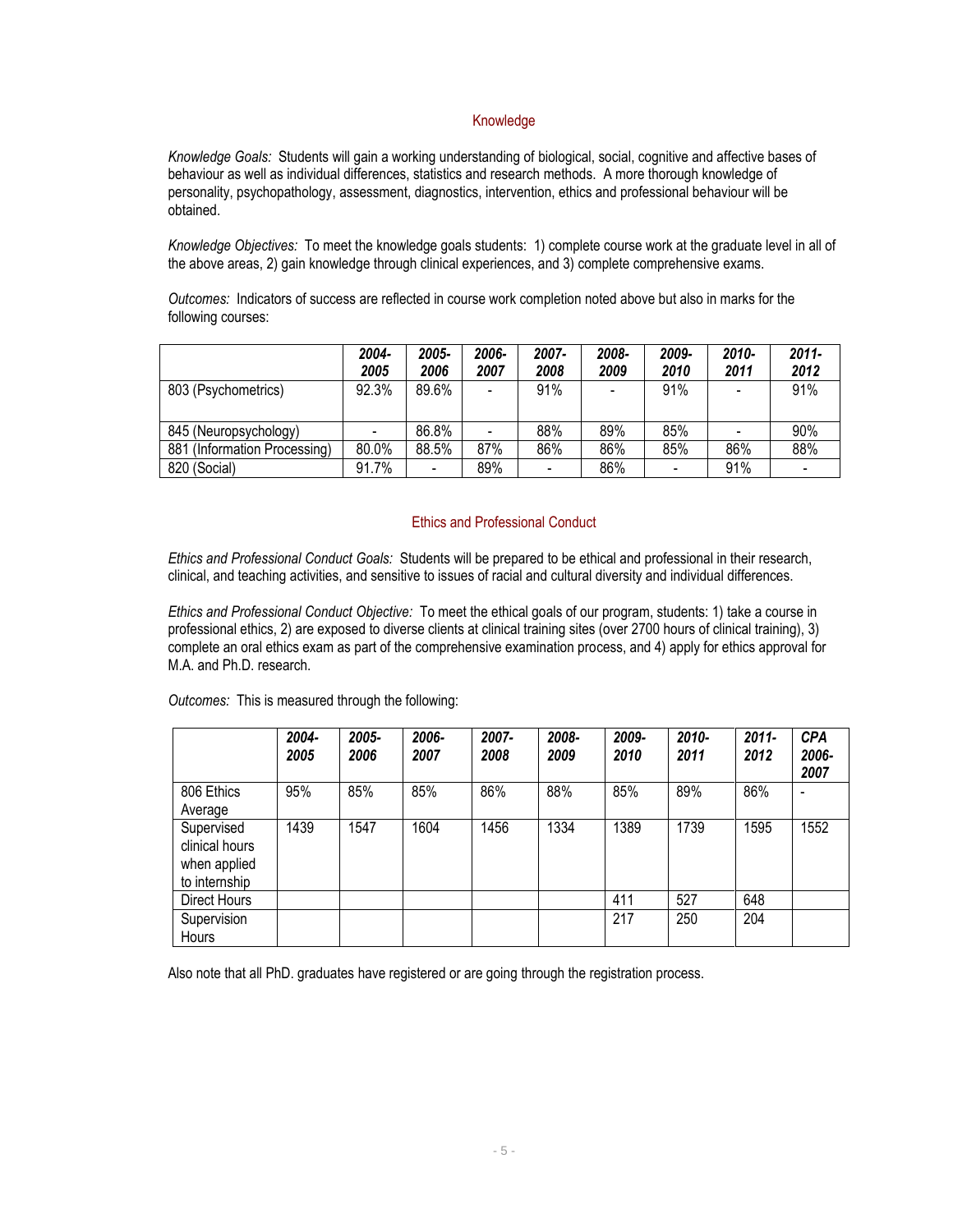### Knowledge

*Knowledge Goals:* Students will gain a working understanding of biological, social, cognitive and affective bases of behaviour as well as individual differences, statistics and research methods. A more thorough knowledge of personality, psychopathology, assessment, diagnostics, intervention, ethics and professional behaviour will be obtained.

*Knowledge Objectives:* To meet the knowledge goals students: 1) complete course work at the graduate level in all of the above areas, 2) gain knowledge through clinical experiences, and 3) complete comprehensive exams.

*Outcomes:* Indicators of success are reflected in course work completion noted above but also in marks for the following courses:

|                              | 2004-<br>2005 | 2005-<br>2006 | 2006-<br>2007 | 2007-<br>2008            | 2008-<br>2009 | 2009-<br>2010 | 2010-<br>2011 | $2011 -$<br>2012             |
|------------------------------|---------------|---------------|---------------|--------------------------|---------------|---------------|---------------|------------------------------|
| 803 (Psychometrics)          | 92.3%         | 89.6%         |               | 91%                      |               | 91%           |               | 91%                          |
| 845 (Neuropsychology)        |               | 86.8%         |               | 88%                      | 89%           | 85%           |               | 90%                          |
| 881 (Information Processing) | 80.0%         | 88.5%         | 87%           | 86%                      | 86%           | 85%           | 86%           | 88%                          |
| 820 (Social)                 | 91.7%         |               | 89%           | $\overline{\phantom{a}}$ | 86%           |               | 91%           | $\qquad \qquad \blacksquare$ |

#### Ethics and Professional Conduct

*Ethics and Professional Conduct Goals:* Students will be prepared to be ethical and professional in their research, clinical, and teaching activities, and sensitive to issues of racial and cultural diversity and individual differences.

*Ethics and Professional Conduct Objective:* To meet the ethical goals of our program, students: 1) take a course in professional ethics, 2) are exposed to diverse clients at clinical training sites (over 2700 hours of clinical training), 3) complete an oral ethics exam as part of the comprehensive examination process, and 4) apply for ethics approval for M.A. and Ph.D. research.

*Outcomes:* This is measured through the following:

|                                                               | 2004-<br>2005 | 2005-<br>2006 | 2006-<br>2007 | 2007-<br>2008 | 2008-<br>2009 | 2009-<br>2010 | 2010-<br>2011 | $2011 -$<br>2012 | <b>CPA</b><br>2006-<br>2007 |
|---------------------------------------------------------------|---------------|---------------|---------------|---------------|---------------|---------------|---------------|------------------|-----------------------------|
| 806 Ethics<br>Average                                         | 95%           | 85%           | 85%           | 86%           | 88%           | 85%           | 89%           | 86%              |                             |
| Supervised<br>clinical hours<br>when applied<br>to internship | 1439          | 1547          | 1604          | 1456          | 1334          | 1389          | 1739          | 1595             | 1552                        |
| Direct Hours                                                  |               |               |               |               |               | 411           | 527           | 648              |                             |
| Supervision<br><b>Hours</b>                                   |               |               |               |               |               | 217           | 250           | 204              |                             |

Also note that all PhD. graduates have registered or are going through the registration process.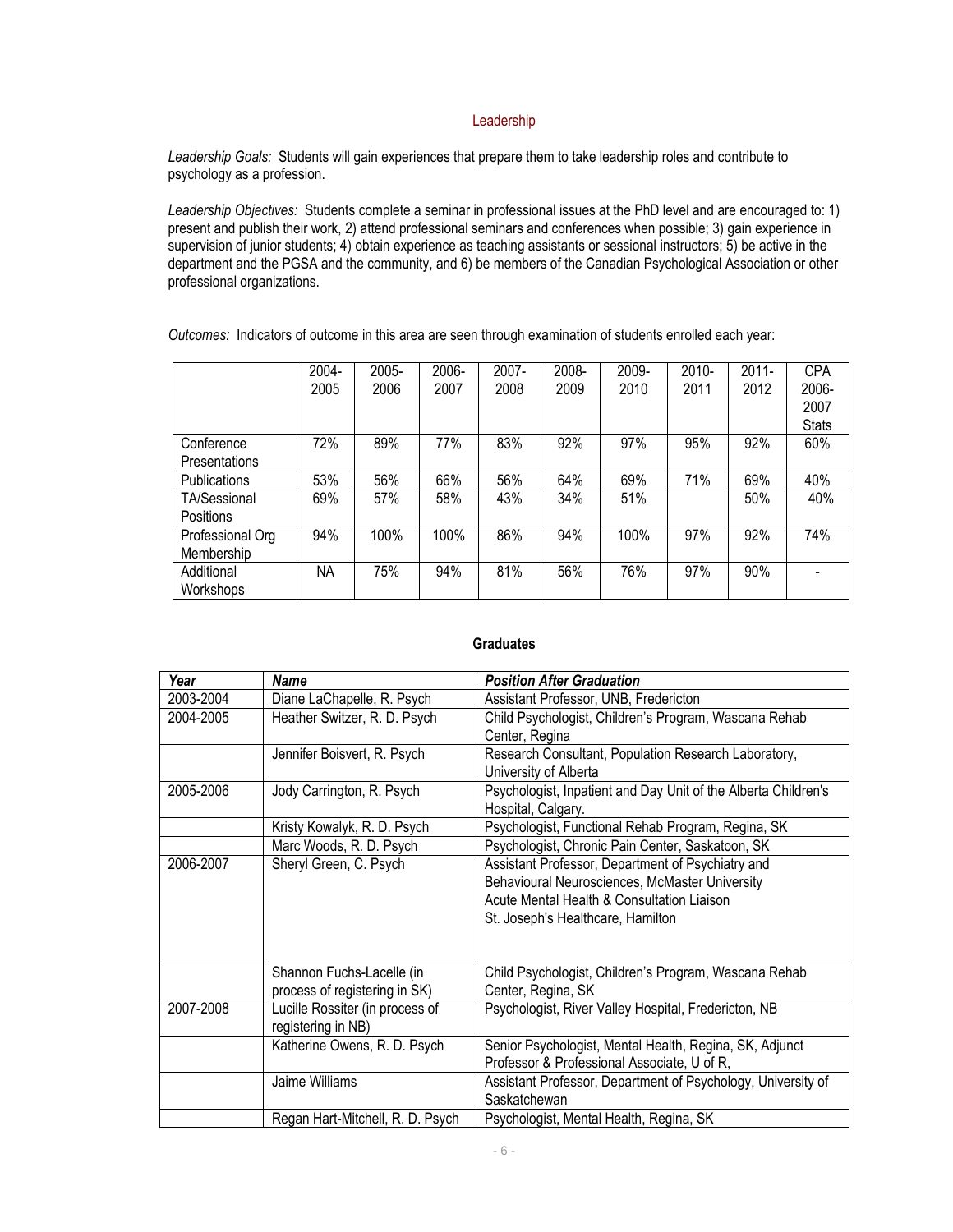#### Leadership

*Leadership Goals:* Students will gain experiences that prepare them to take leadership roles and contribute to psychology as a profession.

*Leadership Objectives:* Students complete a seminar in professional issues at the PhD level and are encouraged to: 1) present and publish their work, 2) attend professional seminars and conferences when possible; 3) gain experience in supervision of junior students; 4) obtain experience as teaching assistants or sessional instructors; 5) be active in the department and the PGSA and the community, and 6) be members of the Canadian Psychological Association or other professional organizations.

*Outcomes:* Indicators of outcome in this area are seen through examination of students enrolled each year:

|                     | 2004- | 2005- | 2006- | 2007- | 2008- | 2009- | 2010- | $2011 -$ | <b>CPA</b>   |
|---------------------|-------|-------|-------|-------|-------|-------|-------|----------|--------------|
|                     | 2005  | 2006  | 2007  | 2008  | 2009  | 2010  | 2011  | 2012     | 2006-        |
|                     |       |       |       |       |       |       |       |          | 2007         |
|                     |       |       |       |       |       |       |       |          | <b>Stats</b> |
| Conference          | 72%   | 89%   | 77%   | 83%   | 92%   | 97%   | 95%   | 92%      | 60%          |
| Presentations       |       |       |       |       |       |       |       |          |              |
| <b>Publications</b> | 53%   | 56%   | 66%   | 56%   | 64%   | 69%   | 71%   | 69%      | 40%          |
| <b>TA/Sessional</b> | 69%   | 57%   | 58%   | 43%   | 34%   | 51%   |       | 50%      | 40%          |
| <b>Positions</b>    |       |       |       |       |       |       |       |          |              |
| Professional Org    | 94%   | 100%  | 100%  | 86%   | 94%   | 100%  | 97%   | 92%      | 74%          |
| Membership          |       |       |       |       |       |       |       |          |              |
| Additional          | NA    | 75%   | 94%   | 81%   | 56%   | 76%   | 97%   | 90%      |              |
| Workshops           |       |       |       |       |       |       |       |          |              |

#### **Graduates**

| Year      | <b>Name</b>                                           | <b>Position After Graduation</b>                                                     |
|-----------|-------------------------------------------------------|--------------------------------------------------------------------------------------|
| 2003-2004 | Diane LaChapelle, R. Psych                            | Assistant Professor, UNB, Fredericton                                                |
| 2004-2005 | Heather Switzer, R. D. Psych                          | Child Psychologist, Children's Program, Wascana Rehab                                |
|           |                                                       | Center, Regina                                                                       |
|           | Jennifer Boisvert, R. Psych                           | Research Consultant, Population Research Laboratory,                                 |
|           |                                                       | University of Alberta                                                                |
| 2005-2006 | Jody Carrington, R. Psych                             | Psychologist, Inpatient and Day Unit of the Alberta Children's<br>Hospital, Calgary. |
|           | Kristy Kowalyk, R. D. Psych                           | Psychologist, Functional Rehab Program, Regina, SK                                   |
|           | Marc Woods, R. D. Psych                               | Psychologist, Chronic Pain Center, Saskatoon, SK                                     |
| 2006-2007 | Sheryl Green, C. Psych                                | Assistant Professor, Department of Psychiatry and                                    |
|           |                                                       | Behavioural Neurosciences, McMaster University                                       |
|           |                                                       | Acute Mental Health & Consultation Liaison                                           |
|           |                                                       | St. Joseph's Healthcare, Hamilton                                                    |
|           |                                                       |                                                                                      |
|           |                                                       |                                                                                      |
|           | Shannon Fuchs-Lacelle (in                             | Child Psychologist, Children's Program, Wascana Rehab                                |
|           | process of registering in SK)                         | Center, Regina, SK                                                                   |
| 2007-2008 | Lucille Rossiter (in process of<br>registering in NB) | Psychologist, River Valley Hospital, Fredericton, NB                                 |
|           | Katherine Owens, R. D. Psych                          | Senior Psychologist, Mental Health, Regina, SK, Adjunct                              |
|           |                                                       | Professor & Professional Associate, U of R,                                          |
|           | Jaime Williams                                        | Assistant Professor, Department of Psychology, University of                         |
|           |                                                       | Saskatchewan                                                                         |
|           | Regan Hart-Mitchell, R. D. Psych                      | Psychologist, Mental Health, Regina, SK                                              |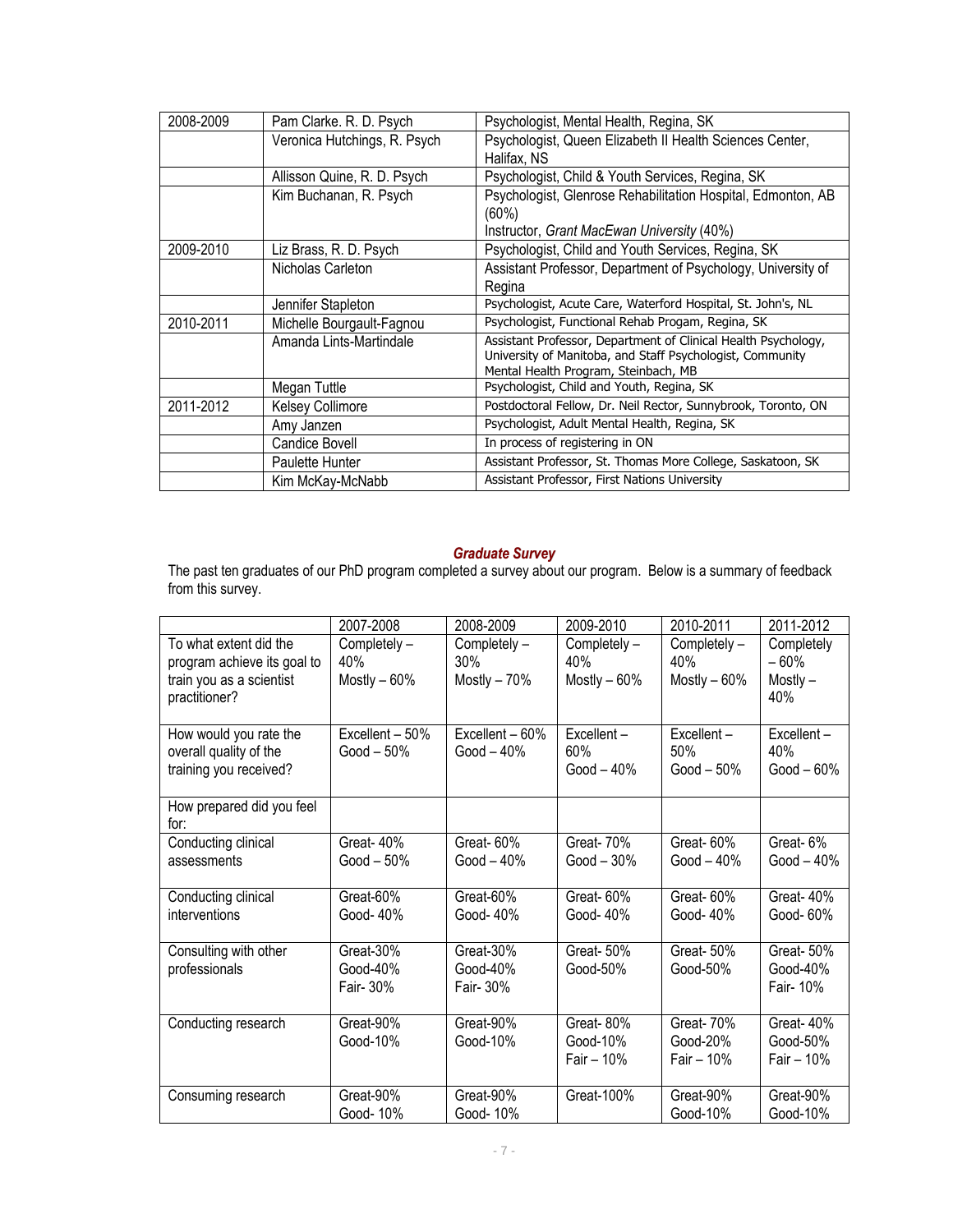| 2008-2009 | Pam Clarke. R. D. Psych      | Psychologist, Mental Health, Regina, SK                                                                                                                             |
|-----------|------------------------------|---------------------------------------------------------------------------------------------------------------------------------------------------------------------|
|           | Veronica Hutchings, R. Psych | Psychologist, Queen Elizabeth II Health Sciences Center,<br>Halifax, NS                                                                                             |
|           | Allisson Quine, R. D. Psych  | Psychologist, Child & Youth Services, Regina, SK                                                                                                                    |
|           | Kim Buchanan, R. Psych       | Psychologist, Glenrose Rehabilitation Hospital, Edmonton, AB<br>(60%)<br>Instructor, Grant MacEwan University (40%)                                                 |
|           |                              |                                                                                                                                                                     |
| 2009-2010 | Liz Brass, R. D. Psych       | Psychologist, Child and Youth Services, Regina, SK                                                                                                                  |
|           | Nicholas Carleton            | Assistant Professor, Department of Psychology, University of<br>Regina                                                                                              |
|           | Jennifer Stapleton           | Psychologist, Acute Care, Waterford Hospital, St. John's, NL                                                                                                        |
| 2010-2011 | Michelle Bourgault-Fagnou    | Psychologist, Functional Rehab Progam, Regina, SK                                                                                                                   |
|           | Amanda Lints-Martindale      | Assistant Professor, Department of Clinical Health Psychology,<br>University of Manitoba, and Staff Psychologist, Community<br>Mental Health Program, Steinbach, MB |
|           | Megan Tuttle                 | Psychologist, Child and Youth, Regina, SK                                                                                                                           |
| 2011-2012 | <b>Kelsey Collimore</b>      | Postdoctoral Fellow, Dr. Neil Rector, Sunnybrook, Toronto, ON                                                                                                       |
|           | Amy Janzen                   | Psychologist, Adult Mental Health, Regina, SK                                                                                                                       |
|           | Candice Bovell               | In process of registering in ON                                                                                                                                     |
|           | Paulette Hunter              | Assistant Professor, St. Thomas More College, Saskatoon, SK                                                                                                         |
|           | Kim McKay-McNabb             | Assistant Professor, First Nations University                                                                                                                       |

#### *Graduate Survey*

The past ten graduates of our PhD program completed a survey about our program. Below is a summary of feedback from this survey.

|                                        | 2007-2008       | 2008-2009       | 2009-2010      | 2010-2011      | 2011-2012    |
|----------------------------------------|-----------------|-----------------|----------------|----------------|--------------|
| To what extent did the                 | Completely -    | Completely -    | Completely -   | Completely -   | Completely   |
| program achieve its goal to            | 40%             | 30%             | 40%            | 40%            | $-60%$       |
| train you as a scientist               | Mostly $-60%$   | Mostly $-70%$   | Mostly $-60\%$ | Mostly $-60\%$ | Mostly $-$   |
| practitioner?                          |                 |                 |                |                | 40%          |
|                                        |                 |                 |                |                |              |
| How would you rate the                 | Excellent - 50% | Excellent - 60% | Excellent-     | Excellent-     | Excellent-   |
| overall quality of the                 | Good $-50\%$    | Good $-40%$     | 60%            | 50%            | 40%          |
| training you received?                 |                 |                 | Good $-40%$    | Good $-50\%$   | Good $-60\%$ |
| How prepared did you feel              |                 |                 |                |                |              |
| for:                                   |                 |                 |                |                |              |
| Conducting clinical                    | Great-40%       | Great-60%       | Great-70%      | Great-60%      | Great-6%     |
| assessments                            | Good $-50\%$    | Good $-40\%$    | $Good - 30\%$  | Good $-40%$    | Good $-40%$  |
|                                        |                 |                 |                |                |              |
| Conducting clinical                    | Great-60%       | Great-60%       | Great-60%      | Great-60%      | Great-40%    |
| interventions                          | Good-40%        | Good-40%        | Good-40%       | Good-40%       | Good-60%     |
|                                        | Great-30%       | Great-30%       | Great-50%      | Great- 50%     | Great- 50%   |
| Consulting with other<br>professionals | Good-40%        | Good-40%        | Good-50%       | Good-50%       | Good-40%     |
|                                        | Fair- 30%       | Fair- 30%       |                |                | Fair- 10%    |
|                                        |                 |                 |                |                |              |
| Conducting research                    | Great-90%       | Great-90%       | Great-80%      | Great-70%      | Great-40%    |
|                                        | Good-10%        | Good-10%        | Good-10%       | Good-20%       | Good-50%     |
|                                        |                 |                 | Fair $-10\%$   | Fair $-10\%$   | Fair $-10%$  |
|                                        |                 |                 |                |                |              |
| Consuming research                     | Great-90%       | Great-90%       | Great-100%     | Great-90%      | Great-90%    |
|                                        | Good-10%        | Good-10%        |                | Good-10%       | Good-10%     |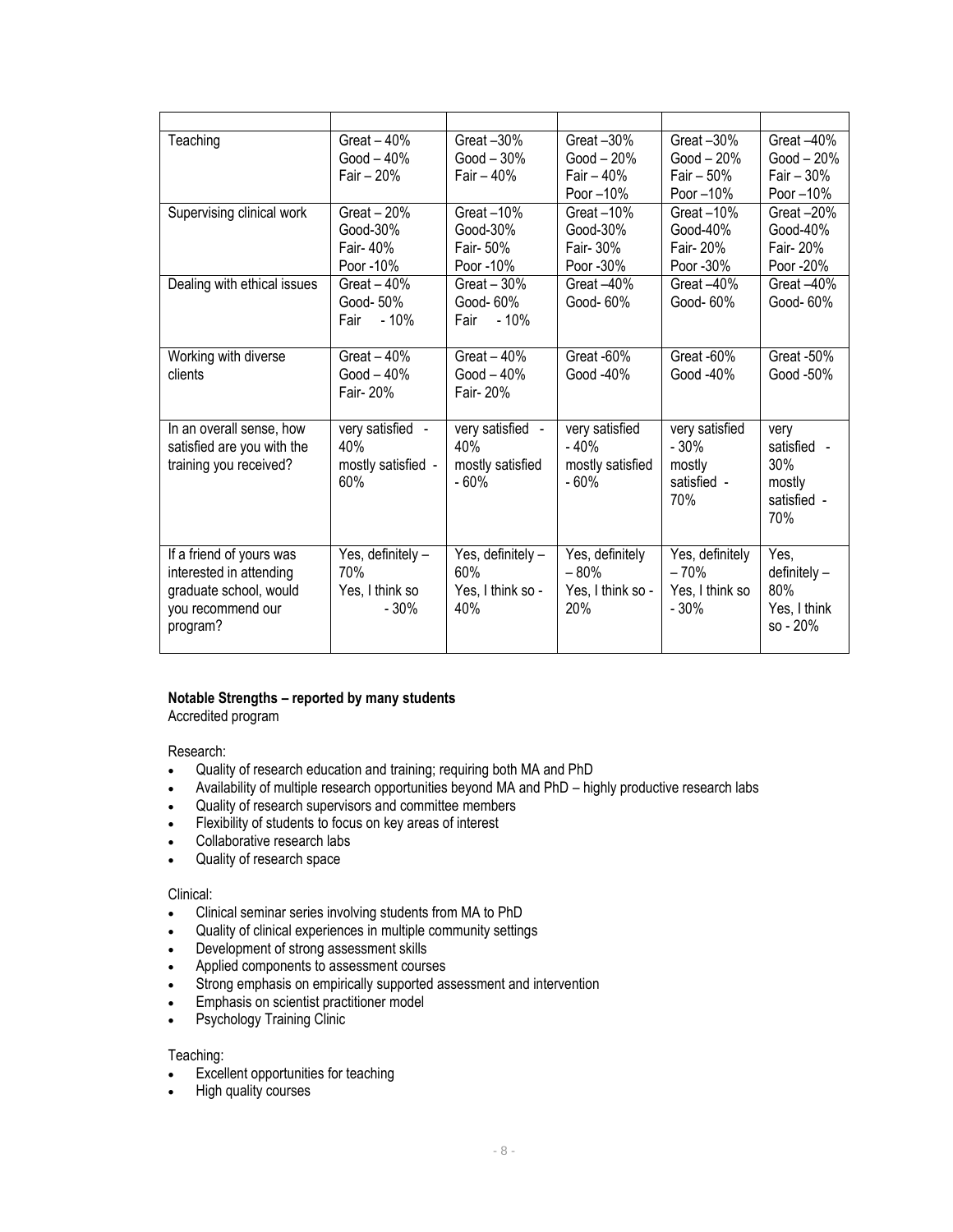| Teaching                    | Great $-40%$       | Great-30%         | Great-30%         | Great -30%      | Great -40%   |
|-----------------------------|--------------------|-------------------|-------------------|-----------------|--------------|
|                             | Good $-40%$        | Good $-30\%$      | Good $-20%$       | Good $-20%$     | Good $-20%$  |
|                             | Fair $-20%$        | Fair $-40%$       | Fair $-40%$       | Fair $-50%$     | Fair $-30%$  |
|                             |                    |                   | Poor -10%         | Poor -10%       | Poor -10%    |
| Supervising clinical work   | Great $-20%$       | Great-10%         | Great-10%         | Great $-10\%$   | Great $-20%$ |
|                             | Good-30%           | Good-30%          | Good-30%          | Good-40%        | Good-40%     |
|                             | Fair-40%           | Fair- 50%         | Fair- 30%         | Fair- 20%       | Fair- 20%    |
|                             | Poor -10%          | Poor -10%         | Poor -30%         | Poor -30%       | Poor -20%    |
| Dealing with ethical issues | Great $-40%$       | Great $-30%$      | Great-40%         | Great -40%      | Great -40%   |
|                             | Good-50%           | Good-60%          | Good-60%          | Good-60%        | Good- 60%    |
|                             | $-10%$<br>Fair     | $-10%$<br>Fair    |                   |                 |              |
|                             |                    |                   |                   |                 |              |
| Working with diverse        | Great $-40%$       | Great $-40%$      | Great -60%        | Great -60%      | Great -50%   |
| clients                     | Good $-40%$        | Good $-40%$       | Good -40%         | Good -40%       | Good -50%    |
|                             | Fair- 20%          | Fair- 20%         |                   |                 |              |
|                             |                    |                   |                   |                 |              |
| In an overall sense, how    | very satisfied -   | very satisfied -  | very satisfied    | very satisfied  | very         |
| satisfied are you with the  | 40%                | 40%               | $-40%$            | $-30%$          | satisfied -  |
| training you received?      | mostly satisfied - | mostly satisfied  | mostly satisfied  | mostly          | 30%          |
|                             | 60%                | $-60%$            | $-60%$            | satisfied -     | mostly       |
|                             |                    |                   |                   | 70%             | satisfied -  |
|                             |                    |                   |                   |                 | 70%          |
|                             |                    |                   |                   |                 |              |
| If a friend of yours was    | Yes, definitely -  | Yes, definitely - | Yes, definitely   | Yes, definitely | Yes,         |
| interested in attending     | 70%                | 60%               | $-80%$            | $-70%$          | definitely-  |
| graduate school, would      | Yes, I think so    | Yes, I think so - | Yes, I think so - | Yes, I think so | 80%          |
| you recommend our           | $-30%$             | 40%               | 20%               | $-30%$          | Yes, I think |
| program?                    |                    |                   |                   |                 | $so - 20%$   |
|                             |                    |                   |                   |                 |              |

### **Notable Strengths – reported by many students**

Accredited program

Research:

- Quality of research education and training; requiring both MA and PhD
- Availability of multiple research opportunities beyond MA and PhD highly productive research labs
- Quality of research supervisors and committee members
- Flexibility of students to focus on key areas of interest
- Collaborative research labs
- Quality of research space

#### Clinical:

- Clinical seminar series involving students from MA to PhD
- Quality of clinical experiences in multiple community settings
- Development of strong assessment skills
- Applied components to assessment courses
- Strong emphasis on empirically supported assessment and intervention
- Emphasis on scientist practitioner model
- Psychology Training Clinic

#### Teaching:

- **Excellent opportunities for teaching**
- High quality courses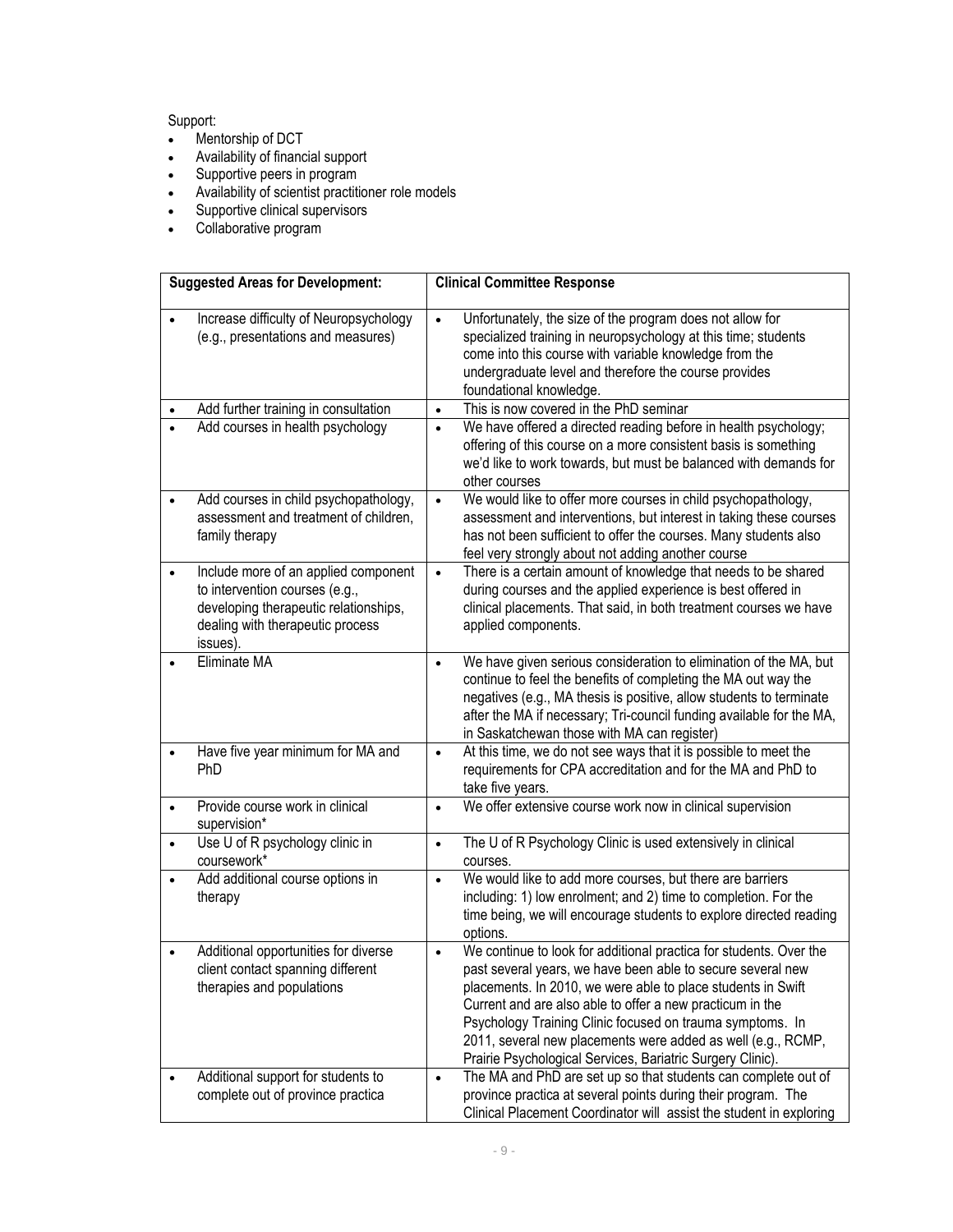# Support:

- Mentorship of DCT
- Availability of financial support
- Supportive peers in program
- Availability of scientist practitioner role models
- Supportive clinical supervisors
- Collaborative program

|           | <b>Suggested Areas for Development:</b>                                                                                                                         | <b>Clinical Committee Response</b>                                                                                                                                                                                                                                                                                                                                                                                                                                     |
|-----------|-----------------------------------------------------------------------------------------------------------------------------------------------------------------|------------------------------------------------------------------------------------------------------------------------------------------------------------------------------------------------------------------------------------------------------------------------------------------------------------------------------------------------------------------------------------------------------------------------------------------------------------------------|
|           | Increase difficulty of Neuropsychology<br>(e.g., presentations and measures)                                                                                    | Unfortunately, the size of the program does not allow for<br>$\bullet$<br>specialized training in neuropsychology at this time; students<br>come into this course with variable knowledge from the<br>undergraduate level and therefore the course provides<br>foundational knowledge.                                                                                                                                                                                 |
|           | Add further training in consultation                                                                                                                            | This is now covered in the PhD seminar<br>$\bullet$                                                                                                                                                                                                                                                                                                                                                                                                                    |
|           | Add courses in health psychology                                                                                                                                | We have offered a directed reading before in health psychology;<br>$\bullet$<br>offering of this course on a more consistent basis is something<br>we'd like to work towards, but must be balanced with demands for<br>other courses                                                                                                                                                                                                                                   |
| ٠         | Add courses in child psychopathology,<br>assessment and treatment of children,<br>family therapy                                                                | We would like to offer more courses in child psychopathology,<br>$\bullet$<br>assessment and interventions, but interest in taking these courses<br>has not been sufficient to offer the courses. Many students also<br>feel very strongly about not adding another course                                                                                                                                                                                             |
| $\bullet$ | Include more of an applied component<br>to intervention courses (e.g.,<br>developing therapeutic relationships,<br>dealing with therapeutic process<br>issues). | There is a certain amount of knowledge that needs to be shared<br>$\bullet$<br>during courses and the applied experience is best offered in<br>clinical placements. That said, in both treatment courses we have<br>applied components.                                                                                                                                                                                                                                |
|           | Eliminate MA                                                                                                                                                    | We have given serious consideration to elimination of the MA, but<br>$\bullet$<br>continue to feel the benefits of completing the MA out way the<br>negatives (e.g., MA thesis is positive, allow students to terminate<br>after the MA if necessary; Tri-council funding available for the MA,<br>in Saskatchewan those with MA can register)                                                                                                                         |
| $\bullet$ | Have five year minimum for MA and<br>PhD                                                                                                                        | At this time, we do not see ways that it is possible to meet the<br>$\bullet$<br>requirements for CPA accreditation and for the MA and PhD to<br>take five years.                                                                                                                                                                                                                                                                                                      |
| $\bullet$ | Provide course work in clinical<br>supervision*                                                                                                                 | We offer extensive course work now in clinical supervision<br>$\bullet$                                                                                                                                                                                                                                                                                                                                                                                                |
| ٠         | Use U of R psychology clinic in<br>coursework*                                                                                                                  | The U of R Psychology Clinic is used extensively in clinical<br>$\bullet$<br>courses.                                                                                                                                                                                                                                                                                                                                                                                  |
|           | Add additional course options in<br>therapy                                                                                                                     | We would like to add more courses, but there are barriers<br>$\bullet$<br>including: 1) low enrolment; and 2) time to completion. For the<br>time being, we will encourage students to explore directed reading<br>options.                                                                                                                                                                                                                                            |
|           | Additional opportunities for diverse<br>client contact spanning different<br>therapies and populations                                                          | We continue to look for additional practica for students. Over the<br>$\bullet$<br>past several years, we have been able to secure several new<br>placements. In 2010, we were able to place students in Swift<br>Current and are also able to offer a new practicum in the<br>Psychology Training Clinic focused on trauma symptoms. In<br>2011, several new placements were added as well (e.g., RCMP,<br>Prairie Psychological Services, Bariatric Surgery Clinic). |
|           | Additional support for students to<br>complete out of province practica                                                                                         | The MA and PhD are set up so that students can complete out of<br>$\bullet$<br>province practica at several points during their program. The<br>Clinical Placement Coordinator will assist the student in exploring                                                                                                                                                                                                                                                    |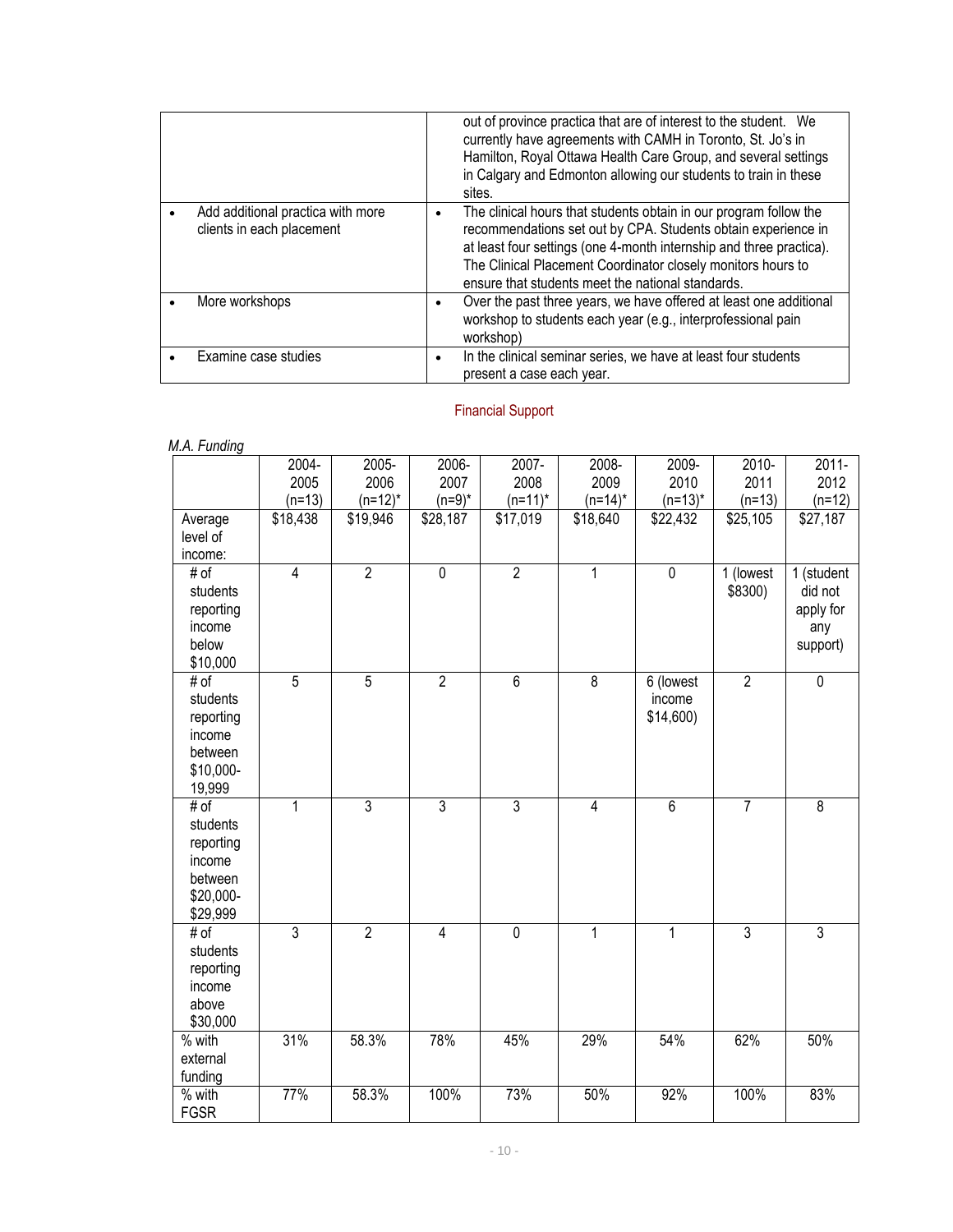|                                                                | out of province practica that are of interest to the student. We<br>currently have agreements with CAMH in Toronto, St. Jo's in<br>Hamilton, Royal Ottawa Health Care Group, and several settings<br>in Calgary and Edmonton allowing our students to train in these<br>sites.                                                 |
|----------------------------------------------------------------|--------------------------------------------------------------------------------------------------------------------------------------------------------------------------------------------------------------------------------------------------------------------------------------------------------------------------------|
| Add additional practica with more<br>clients in each placement | The clinical hours that students obtain in our program follow the<br>recommendations set out by CPA. Students obtain experience in<br>at least four settings (one 4-month internship and three practica).<br>The Clinical Placement Coordinator closely monitors hours to<br>ensure that students meet the national standards. |
| More workshops                                                 | Over the past three years, we have offered at least one additional<br>workshop to students each year (e.g., interprofessional pain<br>workshop)                                                                                                                                                                                |
| Examine case studies                                           | In the clinical seminar series, we have at least four students<br>present a case each year.                                                                                                                                                                                                                                    |

# Financial Support

| ivi.n. i uriulity                                                           | $2004 -$<br>2005<br>$(n=13)$ | $2005 -$<br>2006<br>$(n=12)^*$ | 2006-<br>2007<br>$(n=9)^*$ | 2007-<br>2008<br>$(n=11)^*$ | 2008-<br>2009<br>$(n=14)^*$ | 2009-<br>2010<br>$(n=13)^*$        | $2010 -$<br>2011<br>$(n=13)$ | $2011 -$<br>2012<br>$(n=12)$                          |
|-----------------------------------------------------------------------------|------------------------------|--------------------------------|----------------------------|-----------------------------|-----------------------------|------------------------------------|------------------------------|-------------------------------------------------------|
| Average<br>level of<br>income:                                              | \$18,438                     | \$19,946                       | \$28,187                   | \$17,019                    | \$18,640                    | \$22,432                           | \$25,105                     | \$27,187                                              |
| # of<br>students<br>reporting<br>income<br>below<br>\$10,000                | $\overline{4}$               | $\overline{2}$                 | $\overline{0}$             | $\overline{2}$              | $\mathbf{1}$                | $\overline{0}$                     | 1 (lowest<br>\$8300)         | 1 (student<br>did not<br>apply for<br>any<br>support) |
| # of<br>students<br>reporting<br>income<br>between<br>\$10,000-<br>19,999   | $\overline{5}$               | $\overline{5}$                 | $\overline{2}$             | $\overline{6}$              | $\overline{8}$              | 6 (lowest<br>income<br>$$14,600$ ) | $\overline{2}$               | $\overline{0}$                                        |
| # of<br>students<br>reporting<br>income<br>between<br>\$20,000-<br>\$29,999 | 1                            | $\overline{3}$                 | $\overline{3}$             | $\overline{3}$              | $\overline{4}$              | $\overline{6}$                     | $\overline{7}$               | $\overline{8}$                                        |
| # of<br>students<br>reporting<br>income<br>above<br>\$30,000                | $\overline{3}$               | $\overline{2}$                 | $\overline{4}$             | $\overline{0}$              | $\mathbf{1}$                | 1                                  | $\overline{3}$               | $\overline{3}$                                        |
| $\overline{\%}$ with<br>external<br>funding                                 | 31%                          | 58.3%                          | 78%                        | 45%                         | 29%                         | 54%                                | 62%                          | 50%                                                   |
| $\overline{\%}$ with<br><b>FGSR</b>                                         | 77%                          | 58.3%                          | 100%                       | 73%                         | 50%                         | 92%                                | 100%                         | 83%                                                   |

## *M.A. Funding*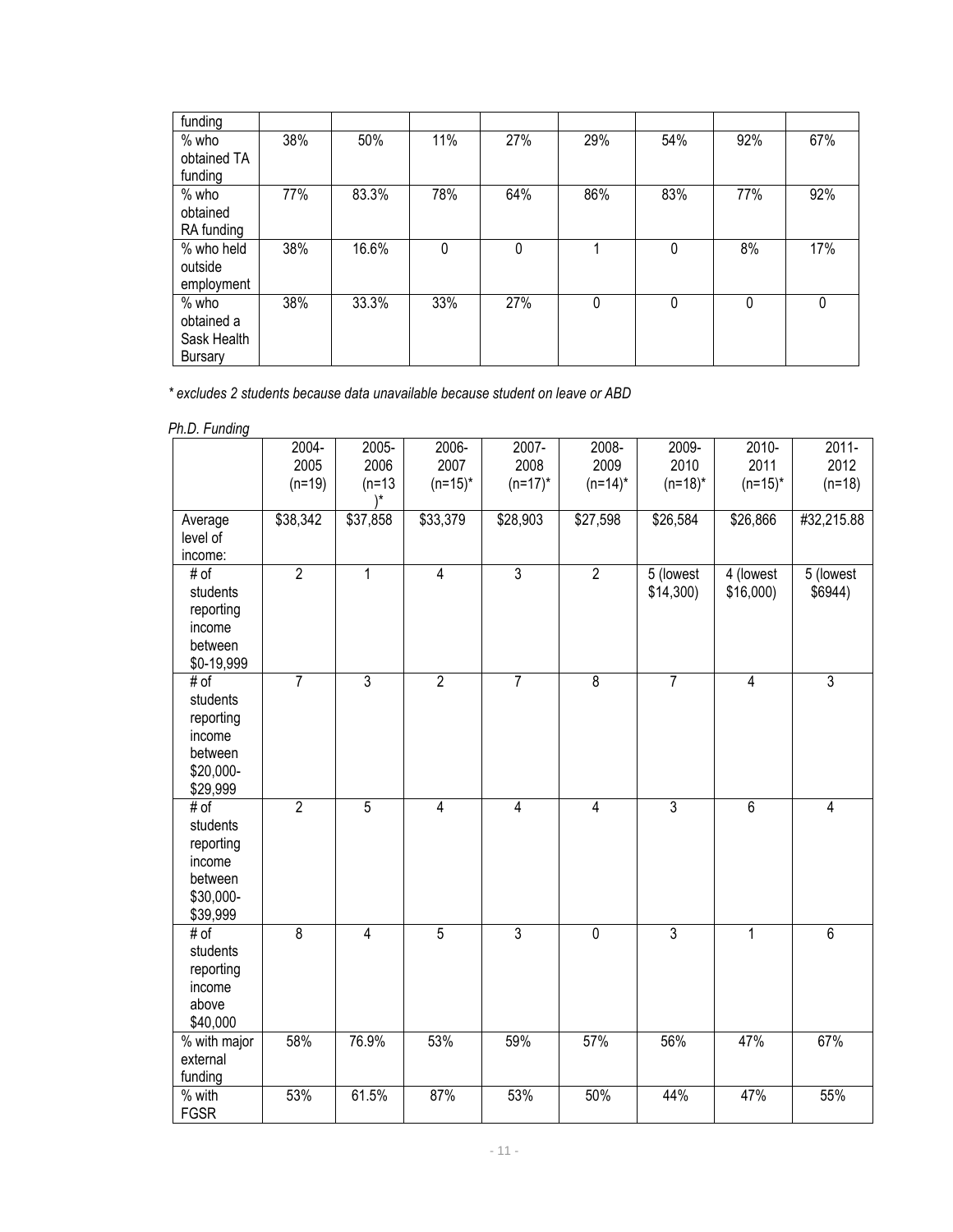| funding                                                |     |       |             |     |     |     |          |          |
|--------------------------------------------------------|-----|-------|-------------|-----|-----|-----|----------|----------|
| $%$ who<br>obtained TA                                 | 38% | 50%   | 11%         | 27% | 29% | 54% | 92%      | 67%      |
| funding                                                |     |       |             |     |     |     |          |          |
| $%$ who<br>obtained<br>RA funding                      | 77% | 83.3% | 78%         | 64% | 86% | 83% | 77%      | 92%      |
| % who held<br>outside<br>employment                    | 38% | 16.6% | $\mathbf 0$ | 0   |     | 0   | 8%       | 17%      |
| $%$ who<br>obtained a<br>Sask Health<br><b>Bursary</b> | 38% | 33.3% | 33%         | 27% | 0   | 0   | $\Omega$ | $\Omega$ |

*\* excludes 2 students because data unavailable because student on leave or ABD*

*Ph.D. Funding* 

| $11.6$ . Tunung            | $2004 -$       | 2005-          | 2006-          | 2007-          | 2008-          | 2009-          | $2010 -$       | $2011 -$       |
|----------------------------|----------------|----------------|----------------|----------------|----------------|----------------|----------------|----------------|
|                            | 2005           | 2006           | 2007           | 2008           | 2009           | 2010           | 2011           | 2012           |
|                            | $(n=19)$       | $(n=13)$       | $(n=15)^*$     | $(n=17)^*$     | $(n=14)^*$     | $(n=18)^*$     | $(n=15)^*$     | $(n=18)$       |
|                            |                |                |                |                |                |                |                |                |
| Average                    | \$38,342       | \$37,858       | \$33,379       | \$28,903       | \$27,598       | \$26,584       | \$26,866       | #32,215.88     |
| level of<br>income:        |                |                |                |                |                |                |                |                |
| # of                       | $\overline{2}$ | $\mathbf{1}$   | $\overline{4}$ | $\overline{3}$ | $\overline{2}$ | 5 (lowest      | 4 (lowest      | 5 (lowest      |
| students                   |                |                |                |                |                | $$14,300$ )    | \$16,000       | \$6944)        |
| reporting                  |                |                |                |                |                |                |                |                |
| income                     |                |                |                |                |                |                |                |                |
| between                    |                |                |                |                |                |                |                |                |
| \$0-19,999                 |                |                |                |                |                |                |                |                |
| # of                       | $\overline{7}$ | $\overline{3}$ | $\overline{2}$ | $\overline{7}$ | $\overline{8}$ | $\overline{7}$ | $\overline{4}$ | 3              |
| students                   |                |                |                |                |                |                |                |                |
| reporting                  |                |                |                |                |                |                |                |                |
| income                     |                |                |                |                |                |                |                |                |
| between                    |                |                |                |                |                |                |                |                |
| \$20,000-<br>\$29,999      |                |                |                |                |                |                |                |                |
| # of                       | $\overline{2}$ | 5              | $\overline{4}$ | $\overline{4}$ | $\overline{4}$ | $\overline{3}$ | $\overline{6}$ | $\overline{4}$ |
| students                   |                |                |                |                |                |                |                |                |
| reporting                  |                |                |                |                |                |                |                |                |
| income                     |                |                |                |                |                |                |                |                |
| between                    |                |                |                |                |                |                |                |                |
| \$30,000-                  |                |                |                |                |                |                |                |                |
| \$39,999                   |                |                |                |                |                |                |                |                |
| # of                       | $\overline{8}$ | $\overline{4}$ | $\overline{5}$ | $\overline{3}$ | $\overline{0}$ | $\overline{3}$ | 1              | $\overline{6}$ |
| students                   |                |                |                |                |                |                |                |                |
| reporting                  |                |                |                |                |                |                |                |                |
| income                     |                |                |                |                |                |                |                |                |
| above<br>\$40,000          |                |                |                |                |                |                |                |                |
| $%$ with major             | 58%            | 76.9%          | 53%            | 59%            | 57%            | 56%            | 47%            | 67%            |
| external                   |                |                |                |                |                |                |                |                |
| funding                    |                |                |                |                |                |                |                |                |
| $\sqrt{\frac{2}{10}}$ with | 53%            | 61.5%          | 87%            | 53%            | 50%            | 44%            | 47%            | 55%            |
| <b>FGSR</b>                |                |                |                |                |                |                |                |                |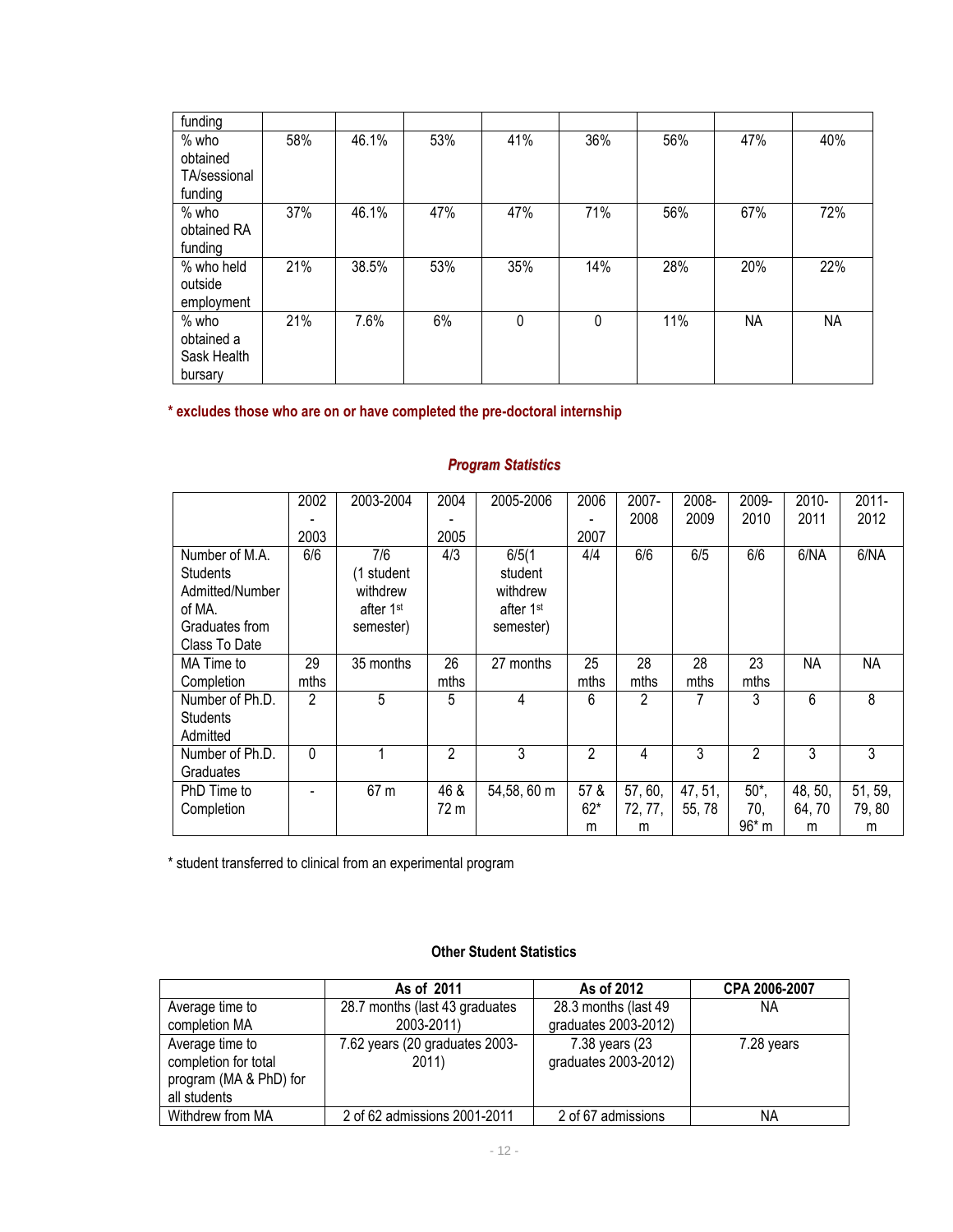| funding      |     |       |     |     |     |     |           |           |
|--------------|-----|-------|-----|-----|-----|-----|-----------|-----------|
| $%$ who      | 58% | 46.1% | 53% | 41% | 36% | 56% | 47%       | 40%       |
| obtained     |     |       |     |     |     |     |           |           |
| TA/sessional |     |       |     |     |     |     |           |           |
| funding      |     |       |     |     |     |     |           |           |
| $%$ who      | 37% | 46.1% | 47% | 47% | 71% | 56% | 67%       | 72%       |
| obtained RA  |     |       |     |     |     |     |           |           |
| funding      |     |       |     |     |     |     |           |           |
| % who held   | 21% | 38.5% | 53% | 35% | 14% | 28% | 20%       | 22%       |
| outside      |     |       |     |     |     |     |           |           |
| employment   |     |       |     |     |     |     |           |           |
| $%$ who      | 21% | 7.6%  | 6%  | 0   | 0   | 11% | <b>NA</b> | <b>NA</b> |
| obtained a   |     |       |     |     |     |     |           |           |
| Sask Health  |     |       |     |     |     |     |           |           |
| bursary      |     |       |     |     |     |     |           |           |

#### **\* excludes those who are on or have completed the pre-doctoral internship**

#### 2002 - 2003 2003-2004 2004 - 2005 2005-2006 2006 - 2007 2007- 2008 2008- 2009 2009- 2010 2010- 2011 2011- 2012 Number of M.A. **Students** Admitted/Number of MA. Graduates from Class To Date 6/6 7/6 (1 student withdrew after 1st semester) 4/3 6/5(1 student withdrew after 1st semester) 4/4 6/6 6/5 6/6 6/NA 6/NA MA Time to **Completion** 29 mths 35 months 26 mths  $27$  months  $\overline{25}$ mths 28 mths 28 mths 23 mths NA NA Number of Ph.D. **Students** Admitted 2 | 5 | 5 | 4 | 6 | 2 | 7 | 3 | 6 | 8 Number of Ph.D. **Graduates** 0 | 1 | 2 | 3 | 2 | 4 | 3 | 2 | 3 | 3 PhD Time to Completion  $- 67 m 46 &$ 72 m  $54,58,60 m$  57 & 62\* m 57, 60, 72, 77, m 47, 51, 55, 78 50\*, 70, 96\* m 48, 50, 64, 70 m 51, 59, 79, 80 m

*Program Statistics*

\* student transferred to clinical from an experimental program

### **Other Student Statistics**

|                                                                                   | As of 2011                              | As of 2012                             | CPA 2006-2007 |
|-----------------------------------------------------------------------------------|-----------------------------------------|----------------------------------------|---------------|
| Average time to                                                                   | 28.7 months (last 43 graduates          | 28.3 months (last 49                   | ΝA            |
| completion MA                                                                     | 2003-2011)                              | graduates 2003-2012)                   |               |
| Average time to<br>completion for total<br>program (MA & PhD) for<br>all students | 7.62 years (20 graduates 2003-<br>2011) | 7.38 years (23<br>graduates 2003-2012) | 7.28 years    |
| Withdrew from MA                                                                  | 2 of 62 admissions 2001-2011            | 2 of 67 admissions                     | ΝA            |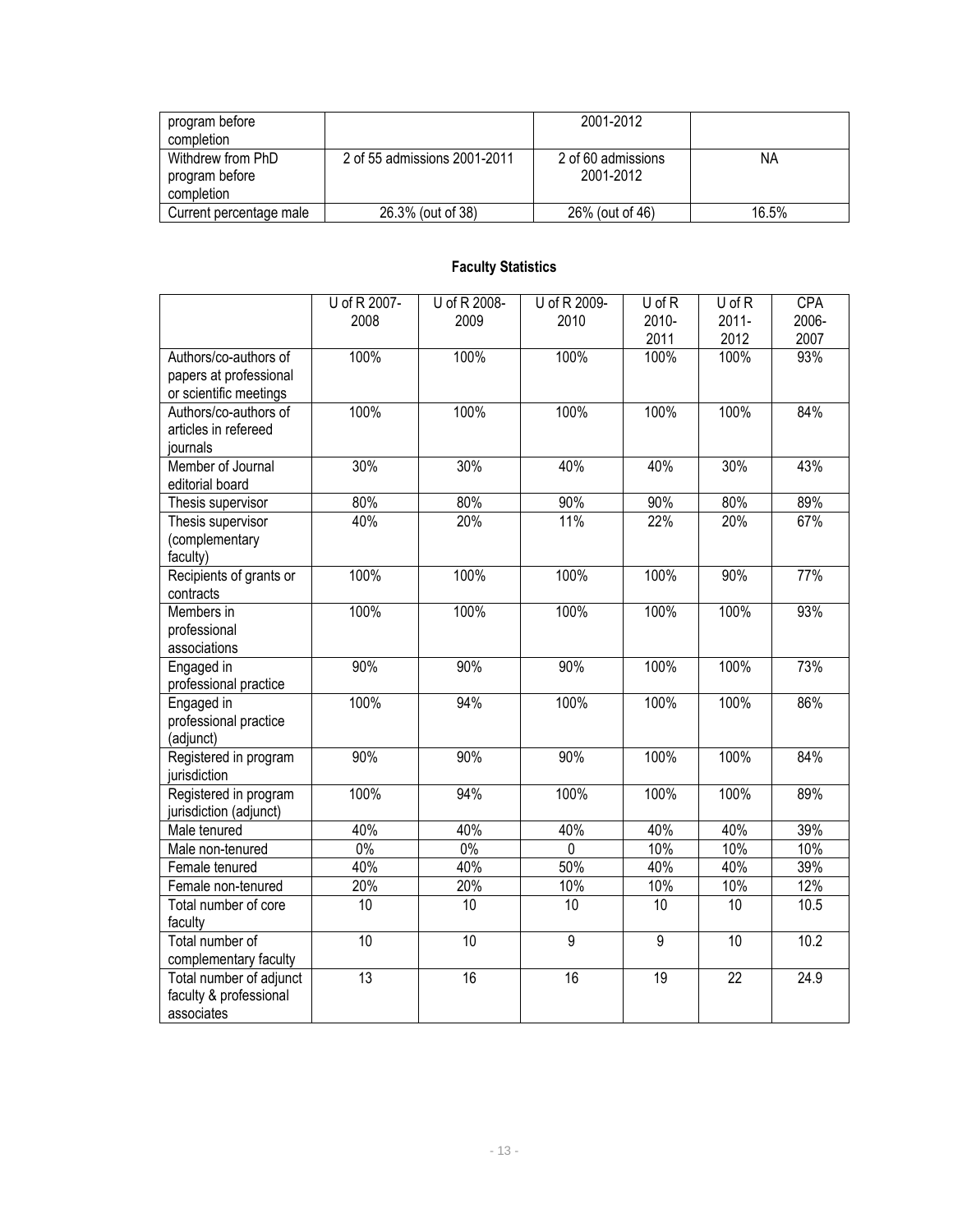| program before<br>completion                      |                              | 2001-2012                       |       |
|---------------------------------------------------|------------------------------|---------------------------------|-------|
| Withdrew from PhD<br>program before<br>completion | 2 of 55 admissions 2001-2011 | 2 of 60 admissions<br>2001-2012 | ΝA    |
| Current percentage male                           | 26.3% (out of 38)            | 26% (out of 46)                 | 16.5% |

# **Faculty Statistics**

|                         | U of R 2007-    | U of R 2008- | U of R 2009-   | U of R         | U of R          | <b>CPA</b> |
|-------------------------|-----------------|--------------|----------------|----------------|-----------------|------------|
|                         | 2008            | 2009         | 2010           | 2010-          | $2011 -$        | 2006-      |
|                         |                 |              |                | 2011           | 2012            | 2007       |
| Authors/co-authors of   | 100%            | 100%         | 100%           | 100%           | 100%            | 93%        |
| papers at professional  |                 |              |                |                |                 |            |
| or scientific meetings  |                 |              |                |                |                 |            |
| Authors/co-authors of   | 100%            | 100%         | 100%           | 100%           | 100%            | 84%        |
| articles in refereed    |                 |              |                |                |                 |            |
| journals                |                 |              |                |                |                 |            |
| Member of Journal       | 30%             | 30%          | 40%            | 40%            | 30%             | 43%        |
| editorial board         |                 |              |                |                |                 |            |
| Thesis supervisor       | 80%             | 80%          | 90%            | 90%            | 80%             | 89%        |
| Thesis supervisor       | 40%             | 20%          | 11%            | 22%            | 20%             | 67%        |
| (complementary          |                 |              |                |                |                 |            |
| faculty)                |                 |              |                |                |                 |            |
| Recipients of grants or | 100%            | 100%         | 100%           | 100%           | 90%             | 77%        |
| contracts               |                 |              |                |                |                 |            |
| Members in              | 100%            | 100%         | 100%           | 100%           | 100%            | 93%        |
| professional            |                 |              |                |                |                 |            |
| associations            |                 |              |                |                |                 |            |
| Engaged in              | 90%             | 90%          | 90%            | 100%           | 100%            | 73%        |
| professional practice   |                 |              |                |                |                 |            |
| Engaged in              | 100%            | 94%          | 100%           | 100%           | 100%            | 86%        |
| professional practice   |                 |              |                |                |                 |            |
| (adjunct)               |                 |              |                |                |                 |            |
| Registered in program   | 90%             | 90%          | 90%            | 100%           | 100%            | 84%        |
| jurisdiction            |                 |              |                |                |                 |            |
| Registered in program   | 100%            | 94%          | 100%           | 100%           | 100%            | 89%        |
| jurisdiction (adjunct)  |                 |              |                |                |                 |            |
| Male tenured            | 40%             | 40%          | 40%            | 40%            | 40%             | 39%        |
| Male non-tenured        | $0\%$           | $0\%$        | $\mathbf 0$    | 10%            | 10%             | 10%        |
| Female tenured          | 40%             | 40%          | 50%            | 40%            | 40%             | 39%        |
| Female non-tenured      | 20%             | 20%          | 10%            | 10%            | 10%             | 12%        |
| Total number of core    | 10              | 10           | 10             | 10             | 10              | 10.5       |
| faculty                 |                 |              |                |                |                 |            |
| Total number of         | 10              | 10           | $\overline{9}$ | $\overline{9}$ | 10              | 10.2       |
| complementary faculty   |                 |              |                |                |                 |            |
| Total number of adjunct | $\overline{13}$ | 16           | 16             | 19             | $\overline{22}$ | 24.9       |
| faculty & professional  |                 |              |                |                |                 |            |
| associates              |                 |              |                |                |                 |            |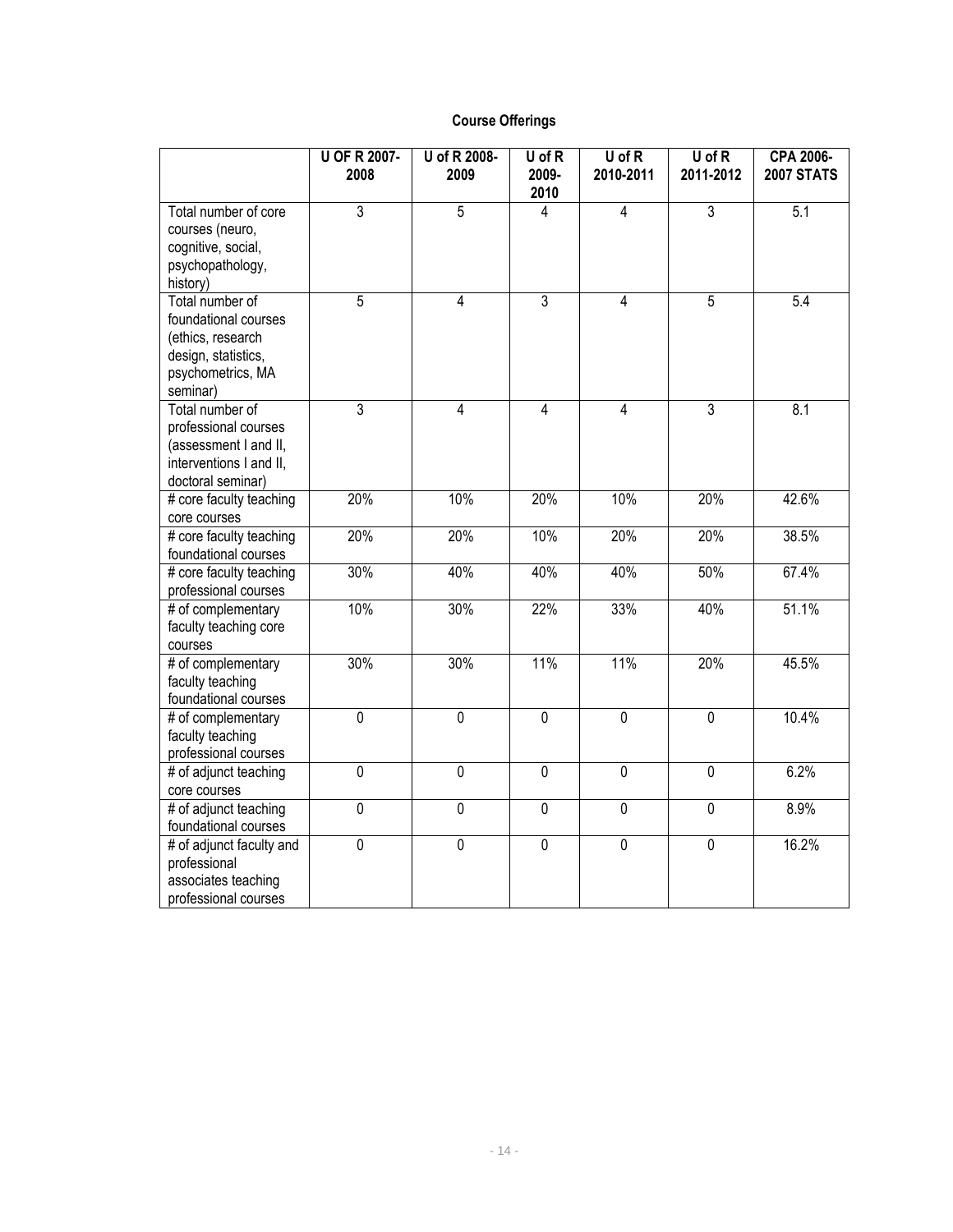## **Course Offerings**

|                                                                                                                      | <b>U OF R 2007-</b><br>2008 | U of R 2008-<br>2009 | U of R<br>2009- | $U$ of $R$<br>2010-2011 | $U$ of $R$<br>2011-2012 | CPA 2006-<br><b>2007 STATS</b> |
|----------------------------------------------------------------------------------------------------------------------|-----------------------------|----------------------|-----------------|-------------------------|-------------------------|--------------------------------|
|                                                                                                                      |                             |                      | 2010            |                         |                         |                                |
| Total number of core<br>courses (neuro,<br>cognitive, social,<br>psychopathology,<br>history)                        | 3                           | $\overline{5}$       | 4               | $\overline{4}$          | $\overline{3}$          | 5.1                            |
| Total number of<br>foundational courses<br>(ethics, research<br>design, statistics,<br>psychometrics, MA<br>seminar) | $\overline{5}$              | $\overline{4}$       | $\overline{3}$  | $\overline{4}$          | $\overline{5}$          | 5.4                            |
| Total number of<br>professional courses<br>(assessment I and II,<br>interventions I and II,<br>doctoral seminar)     | $\overline{3}$              | 4                    | $\overline{4}$  | $\overline{4}$          | $\overline{3}$          | 8.1                            |
| # core faculty teaching<br>core courses                                                                              | 20%                         | 10%                  | 20%             | 10%                     | 20%                     | 42.6%                          |
| # core faculty teaching<br>foundational courses                                                                      | 20%                         | 20%                  | 10%             | 20%                     | 20%                     | 38.5%                          |
| # core faculty teaching<br>professional courses                                                                      | 30%                         | 40%                  | 40%             | 40%                     | 50%                     | 67.4%                          |
| # of complementary<br>faculty teaching core<br>courses                                                               | 10%                         | 30%                  | 22%             | 33%                     | 40%                     | 51.1%                          |
| # of complementary<br>faculty teaching<br>foundational courses                                                       | 30%                         | 30%                  | 11%             | 11%                     | 20%                     | 45.5%                          |
| # of complementary<br>faculty teaching<br>professional courses                                                       | $\overline{0}$              | $\overline{0}$       | $\overline{0}$  | $\overline{0}$          | $\overline{0}$          | 10.4%                          |
| # of adjunct teaching<br>core courses                                                                                | $\overline{0}$              | $\overline{0}$       | $\overline{0}$  | $\overline{0}$          | $\overline{0}$          | 6.2%                           |
| # of adjunct teaching<br>foundational courses                                                                        | $\overline{0}$              | $\overline{0}$       | $\overline{0}$  | $\overline{0}$          | $\overline{0}$          | 8.9%                           |
| # of adjunct faculty and<br>professional<br>associates teaching<br>professional courses                              | $\overline{0}$              | $\overline{0}$       | $\overline{0}$  | $\overline{0}$          | $\overline{0}$          | 16.2%                          |